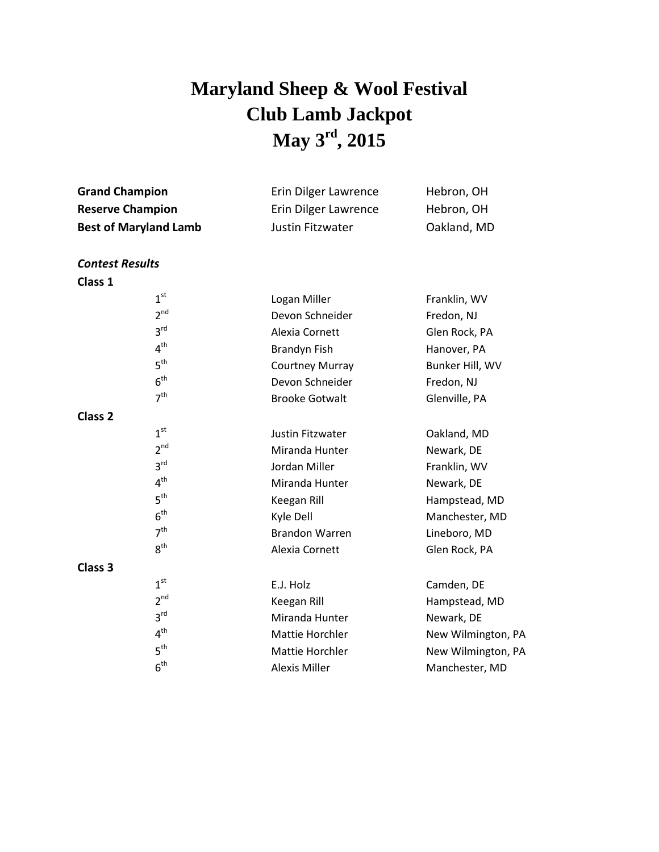## **Maryland Sheep & Wool Festival Club Lamb Jackpot May 3 rd , 2015**

| Erin Dilger Lawrence | Hebron, OH  |
|----------------------|-------------|
| Erin Dilger Lawrence | Hebron, OH  |
| Justin Fitzwater     | Oakland, MD |
|                      |             |

*Contest Results*

**Class 1**

| Franklin, WV       |
|--------------------|
| Fredon, NJ         |
| Glen Rock, PA      |
| Hanover, PA        |
| Bunker Hill, WV    |
| Fredon, NJ         |
| Glenville, PA      |
|                    |
| Oakland, MD        |
| Newark, DE         |
| Franklin, WV       |
| Newark, DE         |
| Hampstead, MD      |
| Manchester, MD     |
| Lineboro, MD       |
| Glen Rock, PA      |
|                    |
| Camden, DE         |
| Hampstead, MD      |
| Newark, DE         |
| New Wilmington, PA |
| New Wilmington, PA |
| Manchester, MD     |
|                    |